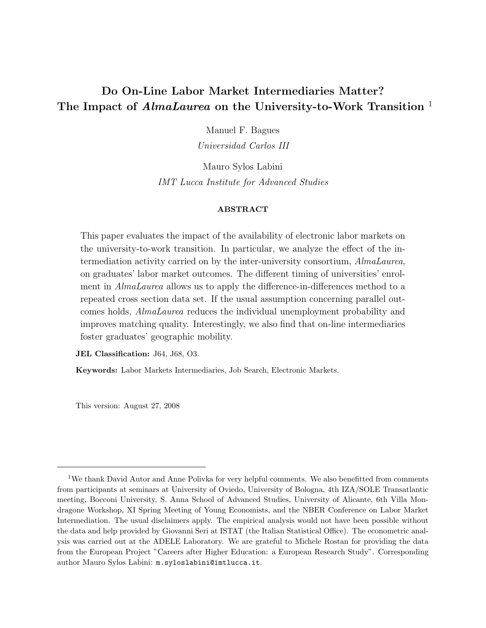# Do On-Line Labor Market Intermediaries Matter? The Impact of *AlmaLaurea* on the University-to-Work Transition <sup>1</sup>

Manuel F. Bagues

Universidad Carlos III

Mauro Sylos Labini IMT Lucca Institute for Advanced Studies

## ABSTRACT

This paper evaluates the impact of the availability of electronic labor markets on the university-to-work transition. In particular, we analyze the effect of the intermediation activity carried on by the inter-university consortium, AlmaLaurea, on graduates' labor market outcomes. The different timing of universities' enrolment in AlmaLaurea allows us to apply the difference-in-differences method to a repeated cross section data set. If the usual assumption concerning parallel outcomes holds, AlmaLaurea reduces the individual unemployment probability and improves matching quality. Interestingly, we also find that on-line intermediaries foster graduates' geographic mobility.

JEL Classification: J64, J68, O3.

Keywords: Labor Markets Intermediaries, Job Search, Electronic Markets.

This version: August 27, 2008

<sup>&</sup>lt;sup>1</sup>We thank David Autor and Anne Polivka for very helpful comments. We also benefitted from comments from participants at seminars at University of Oviedo, University of Bologna, 4th IZA/SOLE Transatlantic meeting, Bocconi University, S. Anna School of Advanced Studies, University of Alicante, 6th Villa Mondragone Workshop, XI Spring Meeting of Young Economists, and the NBER Conference on Labor Market Intermediation. The usual disclaimers apply. The empirical analysis would not have been possible without the data and help provided by Giovanni Seri at ISTAT (the Italian Statistical Office). The econometric analysis was carried out at the ADELE Laboratory. We are grateful to Michele Rostan for providing the data from the European Project "Careers after Higher Education: a European Research Study". Corresponding author Mauro Sylos Labini: m.syloslabini@imtlucca.it.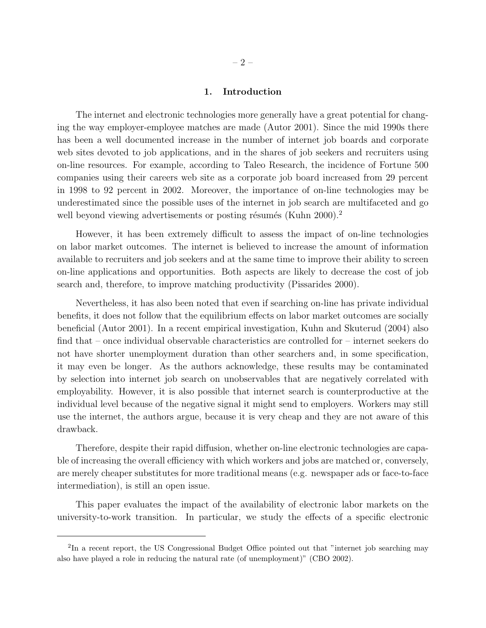#### 1. Introduction

The internet and electronic technologies more generally have a great potential for changing the way employer-employee matches are made (Autor 2001). Since the mid 1990s there has been a well documented increase in the number of internet job boards and corporate web sites devoted to job applications, and in the shares of job seekers and recruiters using on-line resources. For example, according to Taleo Research, the incidence of Fortune 500 companies using their careers web site as a corporate job board increased from 29 percent in 1998 to 92 percent in 2002. Moreover, the importance of on-line technologies may be underestimated since the possible uses of the internet in job search are multifaceted and go well beyond viewing advertisements or posting résumés (Kuhn  $2000$ ).<sup>2</sup>

However, it has been extremely difficult to assess the impact of on-line technologies on labor market outcomes. The internet is believed to increase the amount of information available to recruiters and job seekers and at the same time to improve their ability to screen on-line applications and opportunities. Both aspects are likely to decrease the cost of job search and, therefore, to improve matching productivity (Pissarides 2000).

Nevertheless, it has also been noted that even if searching on-line has private individual benefits, it does not follow that the equilibrium effects on labor market outcomes are socially beneficial (Autor 2001). In a recent empirical investigation, Kuhn and Skuterud (2004) also find that – once individual observable characteristics are controlled for – internet seekers do not have shorter unemployment duration than other searchers and, in some specification, it may even be longer. As the authors acknowledge, these results may be contaminated by selection into internet job search on unobservables that are negatively correlated with employability. However, it is also possible that internet search is counterproductive at the individual level because of the negative signal it might send to employers. Workers may still use the internet, the authors argue, because it is very cheap and they are not aware of this drawback.

Therefore, despite their rapid diffusion, whether on-line electronic technologies are capable of increasing the overall efficiency with which workers and jobs are matched or, conversely, are merely cheaper substitutes for more traditional means (e.g. newspaper ads or face-to-face intermediation), is still an open issue.

This paper evaluates the impact of the availability of electronic labor markets on the university-to-work transition. In particular, we study the effects of a specific electronic

<sup>&</sup>lt;sup>2</sup>In a recent report, the US Congressional Budget Office pointed out that "internet job searching may also have played a role in reducing the natural rate (of unemployment)" (CBO 2002).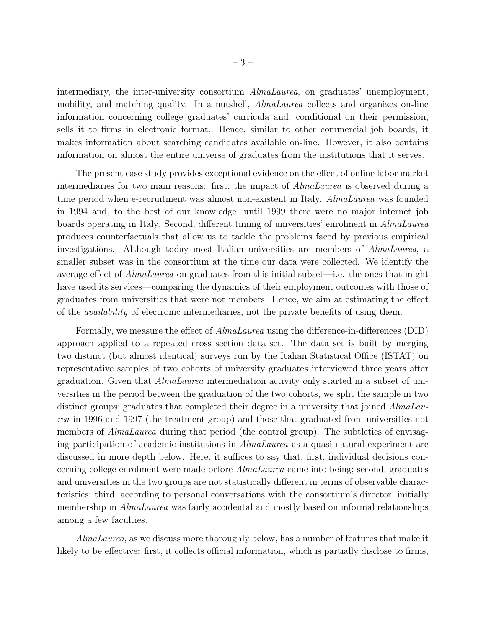intermediary, the inter-university consortium *AlmaLaurea*, on graduates' unemployment, mobility, and matching quality. In a nutshell, *AlmaLaurea* collects and organizes on-line information concerning college graduates' curricula and, conditional on their permission, sells it to firms in electronic format. Hence, similar to other commercial job boards, it makes information about searching candidates available on-line. However, it also contains information on almost the entire universe of graduates from the institutions that it serves.

The present case study provides exceptional evidence on the effect of online labor market intermediaries for two main reasons: first, the impact of AlmaLaurea is observed during a time period when e-recruitment was almost non-existent in Italy. AlmaLaurea was founded in 1994 and, to the best of our knowledge, until 1999 there were no major internet job boards operating in Italy. Second, different timing of universities' enrolment in AlmaLaurea produces counterfactuals that allow us to tackle the problems faced by previous empirical investigations. Although today most Italian universities are members of AlmaLaurea, a smaller subset was in the consortium at the time our data were collected. We identify the average effect of AlmaLaurea on graduates from this initial subset—i.e. the ones that might have used its services—comparing the dynamics of their employment outcomes with those of graduates from universities that were not members. Hence, we aim at estimating the effect of the availability of electronic intermediaries, not the private benefits of using them.

Formally, we measure the effect of *AlmaLaurea* using the difference-in-differences (DID) approach applied to a repeated cross section data set. The data set is built by merging two distinct (but almost identical) surveys run by the Italian Statistical Office (ISTAT) on representative samples of two cohorts of university graduates interviewed three years after graduation. Given that AlmaLaurea intermediation activity only started in a subset of universities in the period between the graduation of the two cohorts, we split the sample in two distinct groups; graduates that completed their degree in a university that joined AlmaLaurea in 1996 and 1997 (the treatment group) and those that graduated from universities not members of *AlmaLaurea* during that period (the control group). The subtleties of envisaging participation of academic institutions in AlmaLaurea as a quasi-natural experiment are discussed in more depth below. Here, it suffices to say that, first, individual decisions concerning college enrolment were made before AlmaLaurea came into being; second, graduates and universities in the two groups are not statistically different in terms of observable characteristics; third, according to personal conversations with the consortium's director, initially membership in *AlmaLaurea* was fairly accidental and mostly based on informal relationships among a few faculties.

AlmaLaurea, as we discuss more thoroughly below, has a number of features that make it likely to be effective: first, it collects official information, which is partially disclose to firms,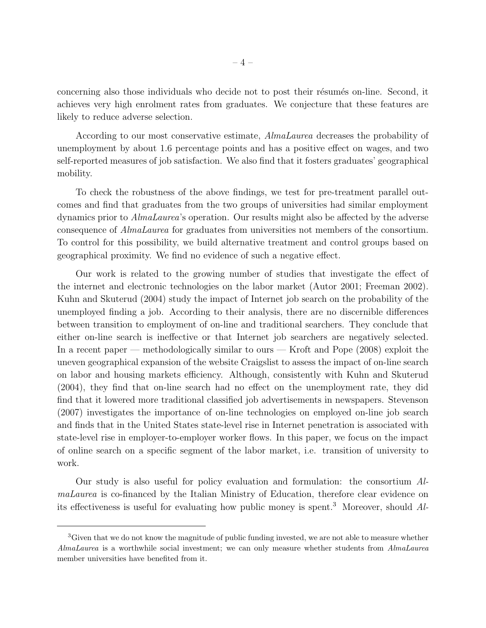concerning also those individuals who decide not to post their résumés on-line. Second, it achieves very high enrolment rates from graduates. We conjecture that these features are likely to reduce adverse selection.

According to our most conservative estimate, AlmaLaurea decreases the probability of unemployment by about 1.6 percentage points and has a positive effect on wages, and two self-reported measures of job satisfaction. We also find that it fosters graduates' geographical mobility.

To check the robustness of the above findings, we test for pre-treatment parallel outcomes and find that graduates from the two groups of universities had similar employment dynamics prior to AlmaLaurea's operation. Our results might also be affected by the adverse consequence of AlmaLaurea for graduates from universities not members of the consortium. To control for this possibility, we build alternative treatment and control groups based on geographical proximity. We find no evidence of such a negative effect.

Our work is related to the growing number of studies that investigate the effect of the internet and electronic technologies on the labor market (Autor 2001; Freeman 2002). Kuhn and Skuterud (2004) study the impact of Internet job search on the probability of the unemployed finding a job. According to their analysis, there are no discernible differences between transition to employment of on-line and traditional searchers. They conclude that either on-line search is ineffective or that Internet job searchers are negatively selected. In a recent paper — methodologically similar to ours — Kroft and Pope (2008) exploit the uneven geographical expansion of the website Craigslist to assess the impact of on-line search on labor and housing markets efficiency. Although, consistently with Kuhn and Skuterud (2004), they find that on-line search had no effect on the unemployment rate, they did find that it lowered more traditional classified job advertisements in newspapers. Stevenson (2007) investigates the importance of on-line technologies on employed on-line job search and finds that in the United States state-level rise in Internet penetration is associated with state-level rise in employer-to-employer worker flows. In this paper, we focus on the impact of online search on a specific segment of the labor market, i.e. transition of university to work.

Our study is also useful for policy evaluation and formulation: the consortium AlmaLaurea is co-financed by the Italian Ministry of Education, therefore clear evidence on its effectiveness is useful for evaluating how public money is spent.<sup>3</sup> Moreover, should  $Al-$ 

<sup>&</sup>lt;sup>3</sup>Given that we do not know the magnitude of public funding invested, we are not able to measure whether AlmaLaurea is a worthwhile social investment; we can only measure whether students from AlmaLaurea member universities have benefited from it.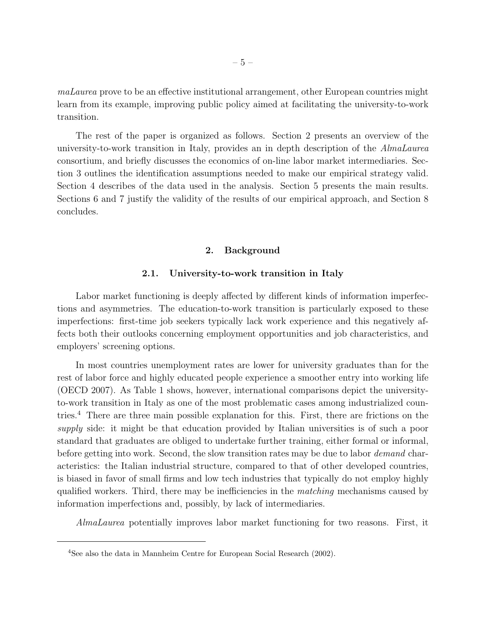maLaurea prove to be an effective institutional arrangement, other European countries might learn from its example, improving public policy aimed at facilitating the university-to-work transition.

The rest of the paper is organized as follows. Section 2 presents an overview of the university-to-work transition in Italy, provides an in depth description of the AlmaLaurea consortium, and briefly discusses the economics of on-line labor market intermediaries. Section 3 outlines the identification assumptions needed to make our empirical strategy valid. Section 4 describes of the data used in the analysis. Section 5 presents the main results. Sections 6 and 7 justify the validity of the results of our empirical approach, and Section 8 concludes.

#### 2. Background

## 2.1. University-to-work transition in Italy

Labor market functioning is deeply affected by different kinds of information imperfections and asymmetries. The education-to-work transition is particularly exposed to these imperfections: first-time job seekers typically lack work experience and this negatively affects both their outlooks concerning employment opportunities and job characteristics, and employers' screening options.

In most countries unemployment rates are lower for university graduates than for the rest of labor force and highly educated people experience a smoother entry into working life (OECD 2007). As Table 1 shows, however, international comparisons depict the universityto-work transition in Italy as one of the most problematic cases among industrialized countries.<sup>4</sup> There are three main possible explanation for this. First, there are frictions on the supply side: it might be that education provided by Italian universities is of such a poor standard that graduates are obliged to undertake further training, either formal or informal, before getting into work. Second, the slow transition rates may be due to labor *demand* characteristics: the Italian industrial structure, compared to that of other developed countries, is biased in favor of small firms and low tech industries that typically do not employ highly qualified workers. Third, there may be inefficiencies in the matching mechanisms caused by information imperfections and, possibly, by lack of intermediaries.

AlmaLaurea potentially improves labor market functioning for two reasons. First, it

<sup>4</sup>See also the data in Mannheim Centre for European Social Research (2002).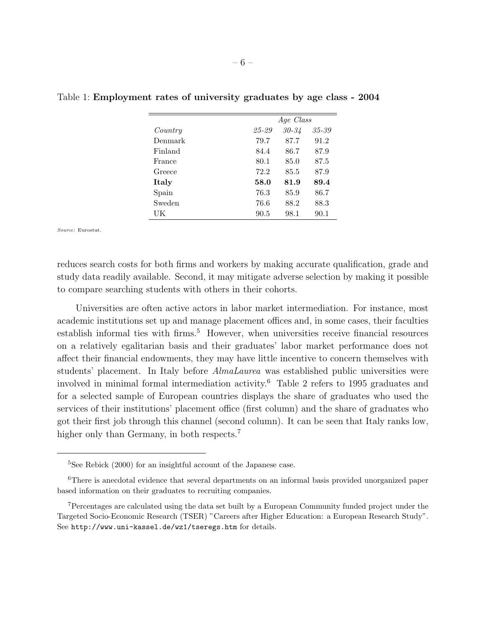| Age Class                    |               |
|------------------------------|---------------|
|                              |               |
| 30-34                        | 35-39         |
| 87.7                         | 91.2          |
| 86.7                         | 87.9          |
| 85.0                         | 87.5          |
| 85.5                         | 87.9          |
| 81.9                         | 89.4          |
| 85.9                         | 86.7          |
| 88.2                         | 88.3          |
| 98.1                         | 90.1          |
| 84.4<br>72.2<br>76.3<br>76.6 | 25-29<br>58.0 |

Table 1: Employment rates of university graduates by age class - 2004

Source: Eurostat.

reduces search costs for both firms and workers by making accurate qualification, grade and study data readily available. Second, it may mitigate adverse selection by making it possible to compare searching students with others in their cohorts.

Universities are often active actors in labor market intermediation. For instance, most academic institutions set up and manage placement offices and, in some cases, their faculties establish informal ties with firms.<sup>5</sup> However, when universities receive financial resources on a relatively egalitarian basis and their graduates' labor market performance does not affect their financial endowments, they may have little incentive to concern themselves with students' placement. In Italy before AlmaLaurea was established public universities were involved in minimal formal intermediation activity.<sup>6</sup> Table 2 refers to 1995 graduates and for a selected sample of European countries displays the share of graduates who used the services of their institutions' placement office (first column) and the share of graduates who got their first job through this channel (second column). It can be seen that Italy ranks low, higher only than Germany, in both respects.<sup>7</sup>

<sup>5</sup>See Rebick (2000) for an insightful account of the Japanese case.

<sup>&</sup>lt;sup>6</sup>There is anecdotal evidence that several departments on an informal basis provided unorganized paper based information on their graduates to recruiting companies.

<sup>7</sup>Percentages are calculated using the data set built by a European Community funded project under the Targeted Socio-Economic Research (TSER) "Careers after Higher Education: a European Research Study". See http://www.uni-kassel.de/wz1/tseregs.htm for details.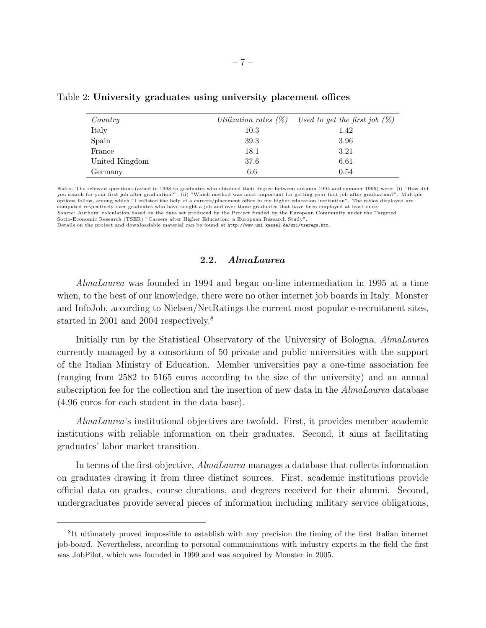| Country        |      | Utilization rates $(\%)$ Used to get the first job $(\%)$ |
|----------------|------|-----------------------------------------------------------|
| Italy          | 10.3 | 1.42                                                      |
| Spain          | 39.3 | 3.96                                                      |
| France         | 18.1 | 3.21                                                      |
| United Kingdom | 37.6 | 6.61                                                      |
| Germany        | 6.6  | 0.54                                                      |

Table 2: University graduates using university placement offices

Notes: The relevant questions (asked in 1998 to graduates who obtained their degree between autumn 1994 and summer 1995) were: (i) "How did you search for your first job after graduation?"; (ii) "Which method was most important for getting your first job after graduation?". Multiple options follow, among which "I enlisted the help of a careers/placement office in my higher education institution". The ratios displayed are computed respectively over graduates who have sought a job and over those graduates that have been employed at least once. Source: Authors' calculation based on the data set produced by the Project funded by the European Community under the Targeted Socio-Economic Research (TSER) "Careers after Higher Education: a European Research Study". Details on the project and downloadable material can be found at http://www.uni-kassel.de/wz1/tseregs.htm.

2.2. AlmaLaurea

AlmaLaurea was founded in 1994 and began on-line intermediation in 1995 at a time when, to the best of our knowledge, there were no other internet job boards in Italy. Monster and InfoJob, according to Nielsen/NetRatings the current most popular e-recruitment sites, started in 2001 and 2004 respectively.<sup>8</sup>

Initially run by the Statistical Observatory of the University of Bologna, AlmaLaurea currently managed by a consortium of 50 private and public universities with the support of the Italian Ministry of Education. Member universities pay a one-time association fee (ranging from 2582 to 5165 euros according to the size of the university) and an annual subscription fee for the collection and the insertion of new data in the *AlmaLaurea* database (4.96 euros for each student in the data base).

AlmaLaurea's institutional objectives are twofold. First, it provides member academic institutions with reliable information on their graduates. Second, it aims at facilitating graduates' labor market transition.

In terms of the first objective, AlmaLaurea manages a database that collects information on graduates drawing it from three distinct sources. First, academic institutions provide official data on grades, course durations, and degrees received for their alumni. Second, undergraduates provide several pieces of information including military service obligations,

<sup>8</sup> It ultimately proved impossible to establish with any precision the timing of the first Italian internet job-board. Nevertheless, according to personal communications with industry experts in the field the first was JobPilot, which was founded in 1999 and was acquired by Monster in 2005.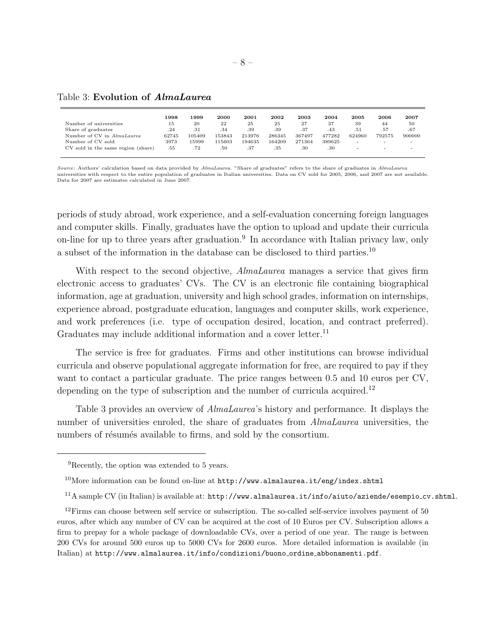## Table 3: Evolution of AlmaLaurea

|                                    | 1998  | 1999   | 2000   | 2001   | 2002   | 2003   | 2004   | 2005                     | 2006                     | 2007                     |
|------------------------------------|-------|--------|--------|--------|--------|--------|--------|--------------------------|--------------------------|--------------------------|
| Number of universities             | 15    | 20     | 22     | 25     | 25     | 27     | 37     | 39                       | 44                       | 50                       |
| Share of graduates                 | .24   | .31    | .34    | .39    | .39    | .37    | .43    | .51                      | .57                      | .67                      |
| Number of CV in AlmaLaurea         | 62745 | 105409 | 153843 | 213976 | 286345 | 367497 | 477282 | 624960                   | 792575                   | 900000                   |
| Number of CV sold                  | 3973  | 15999  | 115603 | 194635 | 164209 | 271364 | 389625 | -                        | $\overline{\phantom{0}}$ | $\overline{\phantom{0}}$ |
| CV sold in the same region (share) | .55   | .72    | .50    | .37    | .35    | .30    | .30    | $\overline{\phantom{a}}$ | $\sim$                   | $\sim$                   |
|                                    |       |        |        |        |        |        |        |                          |                          |                          |

Source: Authors' calculation based on data provided by AlmaLaurea. "Share of graduates" refers to the share of graduates in AlmaLaurea universities with respect to the entire population of graduates in Italian universities. Data on CV sold for 2005, 2006, and 2007 are not available. Data for 2007 are estimates calculated in June 2007.

periods of study abroad, work experience, and a self-evaluation concerning foreign languages and computer skills. Finally, graduates have the option to upload and update their curricula on-line for up to three years after graduation.<sup>9</sup> In accordance with Italian privacy law, only a subset of the information in the database can be disclosed to third parties.<sup>10</sup>

With respect to the second objective, *AlmaLaurea* manages a service that gives firm electronic access to graduates' CVs. The CV is an electronic file containing biographical information, age at graduation, university and high school grades, information on internships, experience abroad, postgraduate education, languages and computer skills, work experience, and work preferences (i.e. type of occupation desired, location, and contract preferred). Graduates may include additional information and a cover letter.<sup>11</sup>

The service is free for graduates. Firms and other institutions can browse individual curricula and observe populational aggregate information for free, are required to pay if they want to contact a particular graduate. The price ranges between 0.5 and 10 euros per CV, depending on the type of subscription and the number of curricula acquired.<sup>12</sup>

Table 3 provides an overview of AlmaLaurea's history and performance. It displays the number of universities enroled, the share of graduates from  $Almalaurea$  universities, the numbers of résumés available to firms, and sold by the consortium.

<sup>9</sup>Recently, the option was extended to 5 years.

 $10$ More information can be found on-line at  $http://www.almalaurea.it/eng/index.shtml$ 

<sup>11</sup>A sample CV (in Italian) is available at: http://www.almalaurea.it/info/aiuto/aziende/esempio cv.shtml.

 $12$ Firms can choose between self service or subscription. The so-called self-service involves payment of 50 euros, after which any number of CV can be acquired at the cost of 10 Euros per CV. Subscription allows a firm to prepay for a whole package of downloadable CVs, over a period of one year. The range is between 200 CVs for around 500 euros up to 5000 CVs for 2600 euros. More detailed information is available (in Italian) at http://www.almalaurea.it/info/condizioni/buono ordine abbonamenti.pdf.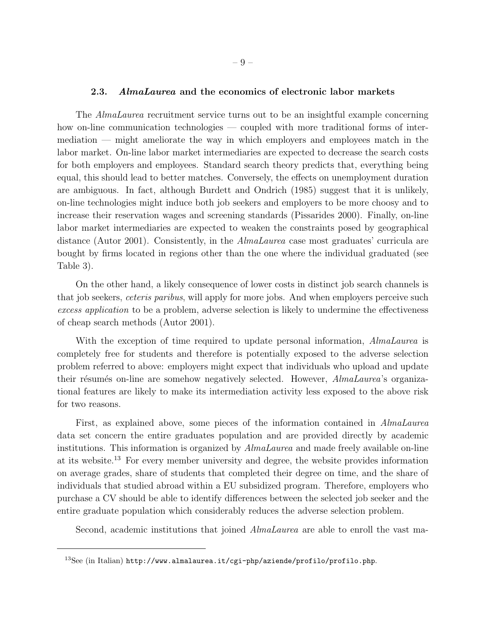#### 2.3. AlmaLaurea and the economics of electronic labor markets

The AlmaLaurea recruitment service turns out to be an insightful example concerning how on-line communication technologies — coupled with more traditional forms of intermediation — might ameliorate the way in which employers and employees match in the labor market. On-line labor market intermediaries are expected to decrease the search costs for both employers and employees. Standard search theory predicts that, everything being equal, this should lead to better matches. Conversely, the effects on unemployment duration are ambiguous. In fact, although Burdett and Ondrich (1985) suggest that it is unlikely, on-line technologies might induce both job seekers and employers to be more choosy and to increase their reservation wages and screening standards (Pissarides 2000). Finally, on-line labor market intermediaries are expected to weaken the constraints posed by geographical distance (Autor 2001). Consistently, in the AlmaLaurea case most graduates' curricula are bought by firms located in regions other than the one where the individual graduated (see Table 3).

On the other hand, a likely consequence of lower costs in distinct job search channels is that job seekers, *ceteris paribus*, will apply for more jobs. And when employers perceive such excess application to be a problem, adverse selection is likely to undermine the effectiveness of cheap search methods (Autor 2001).

With the exception of time required to update personal information, *AlmaLaurea* is completely free for students and therefore is potentially exposed to the adverse selection problem referred to above: employers might expect that individuals who upload and update their résumés on-line are somehow negatively selected. However, AlmaLaurea's organizational features are likely to make its intermediation activity less exposed to the above risk for two reasons.

First, as explained above, some pieces of the information contained in AlmaLaurea data set concern the entire graduates population and are provided directly by academic institutions. This information is organized by AlmaLaurea and made freely available on-line at its website.<sup>13</sup> For every member university and degree, the website provides information on average grades, share of students that completed their degree on time, and the share of individuals that studied abroad within a EU subsidized program. Therefore, employers who purchase a CV should be able to identify differences between the selected job seeker and the entire graduate population which considerably reduces the adverse selection problem.

Second, academic institutions that joined *AlmaLaurea* are able to enroll the vast ma-

<sup>13</sup>See (in Italian) http://www.almalaurea.it/cgi-php/aziende/profilo/profilo.php.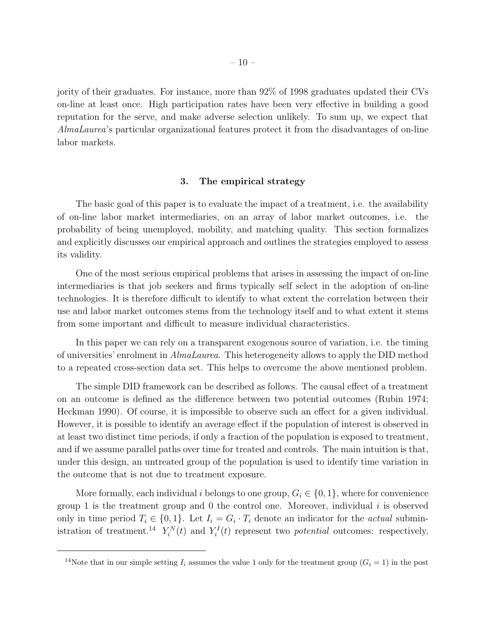jority of their graduates. For instance, more than 92% of 1998 graduates updated their CVs on-line at least once. High participation rates have been very effective in building a good reputation for the serve, and make adverse selection unlikely. To sum up, we expect that AlmaLaurea's particular organizational features protect it from the disadvantages of on-line labor markets.

#### 3. The empirical strategy

The basic goal of this paper is to evaluate the impact of a treatment, i.e. the availability of on-line labor market intermediaries, on an array of labor market outcomes, i.e. the probability of being unemployed, mobility, and matching quality. This section formalizes and explicitly discusses our empirical approach and outlines the strategies employed to assess its validity.

One of the most serious empirical problems that arises in assessing the impact of on-line intermediaries is that job seekers and firms typically self select in the adoption of on-line technologies. It is therefore difficult to identify to what extent the correlation between their use and labor market outcomes stems from the technology itself and to what extent it stems from some important and difficult to measure individual characteristics.

In this paper we can rely on a transparent exogenous source of variation, i.e. the timing of universities' enrolment in AlmaLaurea. This heterogeneity allows to apply the DID method to a repeated cross-section data set. This helps to overcome the above mentioned problem.

The simple DID framework can be described as follows. The causal effect of a treatment on an outcome is defined as the difference between two potential outcomes (Rubin 1974; Heckman 1990). Of course, it is impossible to observe such an effect for a given individual. However, it is possible to identify an average effect if the population of interest is observed in at least two distinct time periods, if only a fraction of the population is exposed to treatment, and if we assume parallel paths over time for treated and controls. The main intuition is that, under this design, an untreated group of the population is used to identify time variation in the outcome that is not due to treatment exposure.

More formally, each individual i belongs to one group,  $G_i \in \{0,1\}$ , where for convenience group 1 is the treatment group and 0 the control one. Moreover, individual  $i$  is observed only in time period  $T_i \in \{0,1\}$ . Let  $I_i = G_i \cdot T_i$  denote an indicator for the *actual* subministration of treatment.<sup>14</sup>  $Y_i^N(t)$  and  $Y_i^I(t)$  represent two *potential* outcomes: respectively,

<sup>&</sup>lt;sup>14</sup>Note that in our simple setting  $I_i$  assumes the value 1 only for the treatment group  $(G_i = 1)$  in the post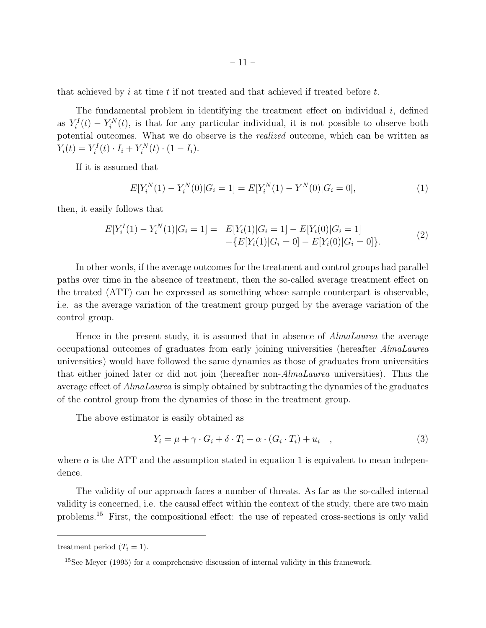that achieved by i at time t if not treated and that achieved if treated before  $t$ .

The fundamental problem in identifying the treatment effect on individual  $i$ , defined as  $Y_i^I(t) - Y_i^N(t)$ , is that for any particular individual, it is not possible to observe both potential outcomes. What we do observe is the realized outcome, which can be written as  $Y_i(t) = Y_i^I(t) \cdot I_i + Y_i^N(t) \cdot (1 - I_i).$ 

If it is assumed that

$$
E[Y_i^N(1) - Y_i^N(0)|G_i = 1] = E[Y_i^N(1) - Y^N(0)|G_i = 0],
$$
\n(1)

then, it easily follows that

$$
E[Y_i^I(1) - Y_i^N(1)|G_i = 1] = E[Y_i(1)|G_i = 1] - E[Y_i(0)|G_i = 1] - \{E[Y_i(1)|G_i = 0] - E[Y_i(0)|G_i = 0]\}.
$$
\n(2)

In other words, if the average outcomes for the treatment and control groups had parallel paths over time in the absence of treatment, then the so-called average treatment effect on the treated (ATT) can be expressed as something whose sample counterpart is observable, i.e. as the average variation of the treatment group purged by the average variation of the control group.

Hence in the present study, it is assumed that in absence of *AlmaLaurea* the average occupational outcomes of graduates from early joining universities (hereafter AlmaLaurea universities) would have followed the same dynamics as those of graduates from universities that either joined later or did not join (hereafter non-AlmaLaurea universities). Thus the average effect of AlmaLaurea is simply obtained by subtracting the dynamics of the graduates of the control group from the dynamics of those in the treatment group.

The above estimator is easily obtained as

$$
Y_i = \mu + \gamma \cdot G_i + \delta \cdot T_i + \alpha \cdot (G_i \cdot T_i) + u_i \quad , \tag{3}
$$

where  $\alpha$  is the ATT and the assumption stated in equation 1 is equivalent to mean independence.

The validity of our approach faces a number of threats. As far as the so-called internal validity is concerned, i.e. the causal effect within the context of the study, there are two main problems.<sup>15</sup> First, the compositional effect: the use of repeated cross-sections is only valid

treatment period  $(T_i = 1)$ .

<sup>&</sup>lt;sup>15</sup>See Meyer (1995) for a comprehensive discussion of internal validity in this framework.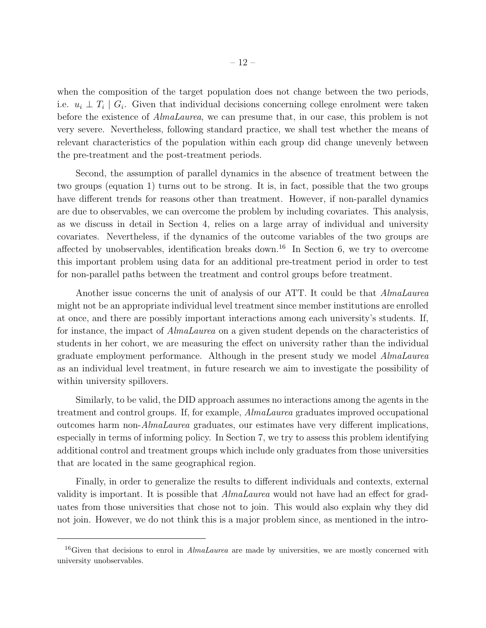when the composition of the target population does not change between the two periods, i.e.  $u_i \perp T_i \mid G_i$ . Given that individual decisions concerning college enrolment were taken before the existence of AlmaLaurea, we can presume that, in our case, this problem is not very severe. Nevertheless, following standard practice, we shall test whether the means of relevant characteristics of the population within each group did change unevenly between the pre-treatment and the post-treatment periods.

Second, the assumption of parallel dynamics in the absence of treatment between the two groups (equation 1) turns out to be strong. It is, in fact, possible that the two groups have different trends for reasons other than treatment. However, if non-parallel dynamics are due to observables, we can overcome the problem by including covariates. This analysis, as we discuss in detail in Section 4, relies on a large array of individual and university covariates. Nevertheless, if the dynamics of the outcome variables of the two groups are affected by unobservables, identification breaks down.<sup>16</sup> In Section 6, we try to overcome this important problem using data for an additional pre-treatment period in order to test for non-parallel paths between the treatment and control groups before treatment.

Another issue concerns the unit of analysis of our ATT. It could be that *AlmaLaurea* might not be an appropriate individual level treatment since member institutions are enrolled at once, and there are possibly important interactions among each university's students. If, for instance, the impact of AlmaLaurea on a given student depends on the characteristics of students in her cohort, we are measuring the effect on university rather than the individual graduate employment performance. Although in the present study we model AlmaLaurea as an individual level treatment, in future research we aim to investigate the possibility of within university spillovers.

Similarly, to be valid, the DID approach assumes no interactions among the agents in the treatment and control groups. If, for example, AlmaLaurea graduates improved occupational outcomes harm non-AlmaLaurea graduates, our estimates have very different implications, especially in terms of informing policy. In Section 7, we try to assess this problem identifying additional control and treatment groups which include only graduates from those universities that are located in the same geographical region.

Finally, in order to generalize the results to different individuals and contexts, external validity is important. It is possible that AlmaLaurea would not have had an effect for graduates from those universities that chose not to join. This would also explain why they did not join. However, we do not think this is a major problem since, as mentioned in the intro-

<sup>&</sup>lt;sup>16</sup>Given that decisions to enrol in  $AlmaLaurea$  are made by universities, we are mostly concerned with university unobservables.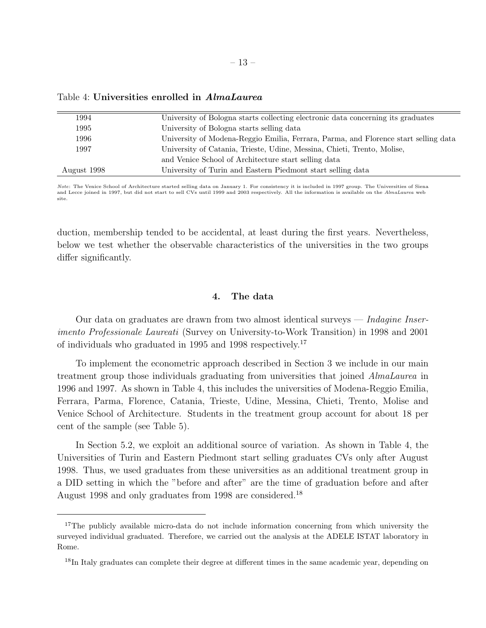| 1994        | University of Bologna starts collecting electronic data concerning its graduates    |
|-------------|-------------------------------------------------------------------------------------|
| 1995        | University of Bologna starts selling data                                           |
| 1996        | University of Modena-Reggio Emilia, Ferrara, Parma, and Florence start selling data |
| 1997        | University of Catania, Trieste, Udine, Messina, Chieti, Trento, Molise,             |
|             | and Venice School of Architecture start selling data                                |
| August 1998 | University of Turin and Eastern Piedmont start selling data                         |

Table 4: Universities enrolled in AlmaLaurea

Note: The Venice School of Architecture started selling data on January 1. For consistency it is included in 1997 group. The Universities of Siena and Lecce joined in 1997, but did not start to sell CVs until 1999 and 2003 respectively. All the information is available on the AlmaLaurea web site.

duction, membership tended to be accidental, at least during the first years. Nevertheless, below we test whether the observable characteristics of the universities in the two groups differ significantly.

### 4. The data

Our data on graduates are drawn from two almost identical surveys — Indagine Inserimento Professionale Laureati (Survey on University-to-Work Transition) in 1998 and 2001 of individuals who graduated in 1995 and 1998 respectively.<sup>17</sup>

To implement the econometric approach described in Section 3 we include in our main treatment group those individuals graduating from universities that joined AlmaLaurea in 1996 and 1997. As shown in Table 4, this includes the universities of Modena-Reggio Emilia, Ferrara, Parma, Florence, Catania, Trieste, Udine, Messina, Chieti, Trento, Molise and Venice School of Architecture. Students in the treatment group account for about 18 per cent of the sample (see Table 5).

In Section 5.2, we exploit an additional source of variation. As shown in Table 4, the Universities of Turin and Eastern Piedmont start selling graduates CVs only after August 1998. Thus, we used graduates from these universities as an additional treatment group in a DID setting in which the "before and after" are the time of graduation before and after August 1998 and only graduates from 1998 are considered.<sup>18</sup>

<sup>&</sup>lt;sup>17</sup>The publicly available micro-data do not include information concerning from which university the surveyed individual graduated. Therefore, we carried out the analysis at the ADELE ISTAT laboratory in Rome.

<sup>&</sup>lt;sup>18</sup>In Italy graduates can complete their degree at different times in the same academic year, depending on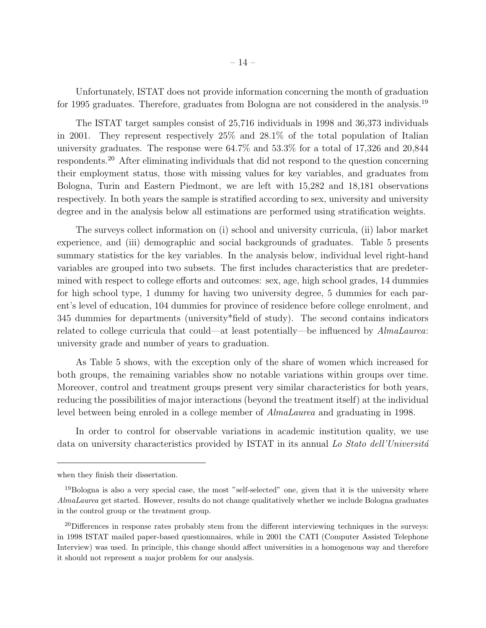Unfortunately, ISTAT does not provide information concerning the month of graduation for 1995 graduates. Therefore, graduates from Bologna are not considered in the analysis.<sup>19</sup>

The ISTAT target samples consist of 25,716 individuals in 1998 and 36,373 individuals in 2001. They represent respectively 25% and 28.1% of the total population of Italian university graduates. The response were 64.7% and 53.3% for a total of 17,326 and 20,844 respondents.<sup>20</sup> After eliminating individuals that did not respond to the question concerning their employment status, those with missing values for key variables, and graduates from Bologna, Turin and Eastern Piedmont, we are left with 15,282 and 18,181 observations respectively. In both years the sample is stratified according to sex, university and university degree and in the analysis below all estimations are performed using stratification weights.

The surveys collect information on (i) school and university curricula, (ii) labor market experience, and (iii) demographic and social backgrounds of graduates. Table 5 presents summary statistics for the key variables. In the analysis below, individual level right-hand variables are grouped into two subsets. The first includes characteristics that are predetermined with respect to college efforts and outcomes: sex, age, high school grades, 14 dummies for high school type, 1 dummy for having two university degree, 5 dummies for each parent's level of education, 104 dummies for province of residence before college enrolment, and 345 dummies for departments (university\*field of study). The second contains indicators related to college curricula that could—at least potentially—be influenced by AlmaLaurea: university grade and number of years to graduation.

As Table 5 shows, with the exception only of the share of women which increased for both groups, the remaining variables show no notable variations within groups over time. Moreover, control and treatment groups present very similar characteristics for both years, reducing the possibilities of major interactions (beyond the treatment itself) at the individual level between being enroled in a college member of AlmaLaurea and graduating in 1998.

In order to control for observable variations in academic institution quality, we use data on university characteristics provided by ISTAT in its annual Lo Stato dell'Universitá

when they finish their dissertation.

<sup>&</sup>lt;sup>19</sup>Bologna is also a very special case, the most "self-selected" one, given that it is the university where AlmaLaurea get started. However, results do not change qualitatively whether we include Bologna graduates in the control group or the treatment group.

<sup>&</sup>lt;sup>20</sup>Differences in response rates probably stem from the different interviewing techniques in the surveys: in 1998 ISTAT mailed paper-based questionnaires, while in 2001 the CATI (Computer Assisted Telephone Interview) was used. In principle, this change should affect universities in a homogenous way and therefore it should not represent a major problem for our analysis.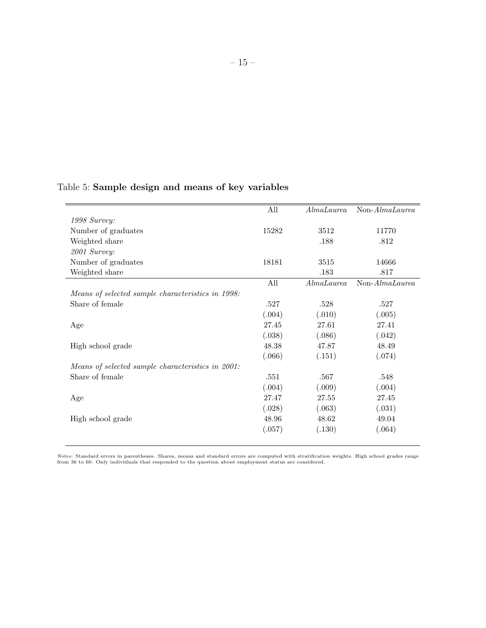## Table 5: Sample design and means of key variables

|                                                   | All    | Almalaurea | Non-AlmaLaurea   |
|---------------------------------------------------|--------|------------|------------------|
| 1998 Survey:                                      |        |            |                  |
| Number of graduates                               | 15282  | 3512       | 11770            |
| Weighted share                                    |        | .188       | .812             |
| 2001 Survey:                                      |        |            |                  |
| Number of graduates                               | 18181  | 3515       | 14666            |
| Weighted share                                    |        | .183       | .817             |
|                                                   | All    | Almalaurea | $Non-Almalaurea$ |
| Means of selected sample characteristics in 1998: |        |            |                  |
| Share of female                                   | .527   | .528       | .527             |
|                                                   | (.004) | (.010)     | (.005)           |
| Age                                               | 27.45  | 27.61      | 27.41            |
|                                                   | (.038) | (.086)     | (.042)           |
| High school grade                                 | 48.38  | 47.87      | 48.49            |
|                                                   | (.066) | (.151)     | (.074)           |
| Means of selected sample characteristics in 2001: |        |            |                  |
| Share of female                                   | .551   | .567       | .548             |
|                                                   | (.004) | (.009)     | (.004)           |
| Age                                               | 27.47  | 27.55      | 27.45            |
|                                                   | (.028) | (.063)     | (.031)           |
| High school grade                                 | 48.96  | 48.62      | 49.04            |
|                                                   | (.057) | (.130)     | (.064)           |
|                                                   |        |            |                  |

Notes: Standard errors in parentheses. Shares, means and standard errors are computed with stratification weights. High school grades range<br>from 36 to 60. Only individuals that responded to the question about employment st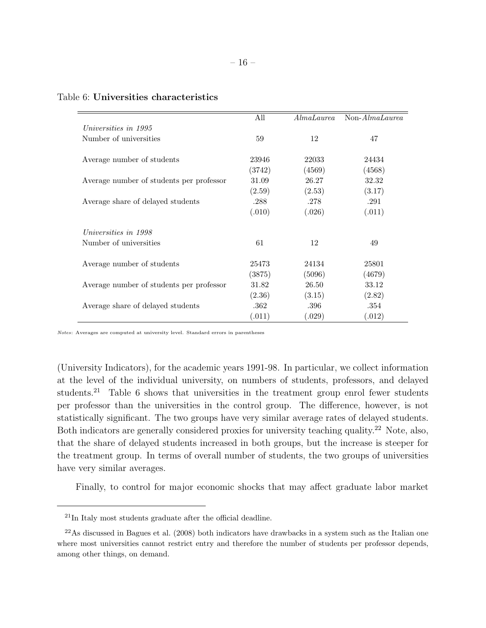|                                          | All    | AlmaLaurea | $Non-Almalaurea$ |
|------------------------------------------|--------|------------|------------------|
| Universities in 1995                     |        |            |                  |
| Number of universities                   | 59     | 12         | 47               |
|                                          |        |            |                  |
| Average number of students               | 23946  | 22033      | 24434            |
|                                          | (3742) | (4569)     | (4568)           |
| Average number of students per professor | 31.09  | 26.27      | 32.32            |
|                                          | (2.59) | (2.53)     | (3.17)           |
| Average share of delayed students        | .288   | .278       | .291             |
|                                          | (.010) | (.026)     | (.011)           |
| Universities in 1998                     |        |            |                  |
| Number of universities                   | 61     | 12         | 49               |
| Average number of students               | 25473  | 24134      | 25801            |
|                                          | (3875) | (5096)     | (4679)           |
| Average number of students per professor | 31.82  | 26.50      | 33.12            |
|                                          | (2.36) | (3.15)     | (2.82)           |
| Average share of delayed students        | .362   | .396       | .354             |
|                                          | (.011) | (.029)     | (.012)           |

### Table 6: Universities characteristics

Notes: Averages are computed at university level. Standard errors in parentheses

(University Indicators), for the academic years 1991-98. In particular, we collect information at the level of the individual university, on numbers of students, professors, and delayed students.<sup>21</sup> Table 6 shows that universities in the treatment group enrol fewer students per professor than the universities in the control group. The difference, however, is not statistically significant. The two groups have very similar average rates of delayed students. Both indicators are generally considered proxies for university teaching quality.<sup>22</sup> Note, also, that the share of delayed students increased in both groups, but the increase is steeper for the treatment group. In terms of overall number of students, the two groups of universities have very similar averages.

Finally, to control for major economic shocks that may affect graduate labor market

 $^{21}$ In Italy most students graduate after the official deadline.

 $^{22}$ As discussed in Bagues et al. (2008) both indicators have drawbacks in a system such as the Italian one where most universities cannot restrict entry and therefore the number of students per professor depends, among other things, on demand.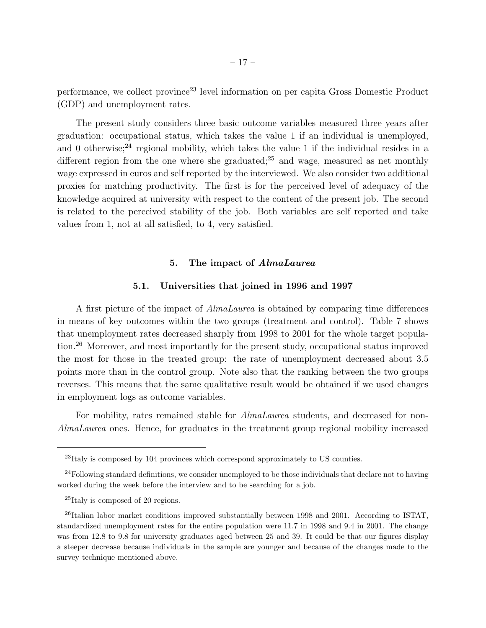performance, we collect province<sup>23</sup> level information on per capita Gross Domestic Product (GDP) and unemployment rates.

The present study considers three basic outcome variables measured three years after graduation: occupational status, which takes the value 1 if an individual is unemployed, and 0 otherwise;<sup>24</sup> regional mobility, which takes the value 1 if the individual resides in a different region from the one where she graduated;<sup>25</sup> and wage, measured as net monthly wage expressed in euros and self reported by the interviewed. We also consider two additional proxies for matching productivity. The first is for the perceived level of adequacy of the knowledge acquired at university with respect to the content of the present job. The second is related to the perceived stability of the job. Both variables are self reported and take values from 1, not at all satisfied, to 4, very satisfied.

## 5. The impact of AlmaLaurea

## 5.1. Universities that joined in 1996 and 1997

A first picture of the impact of AlmaLaurea is obtained by comparing time differences in means of key outcomes within the two groups (treatment and control). Table 7 shows that unemployment rates decreased sharply from 1998 to 2001 for the whole target population.<sup>26</sup> Moreover, and most importantly for the present study, occupational status improved the most for those in the treated group: the rate of unemployment decreased about 3.5 points more than in the control group. Note also that the ranking between the two groups reverses. This means that the same qualitative result would be obtained if we used changes in employment logs as outcome variables.

For mobility, rates remained stable for *AlmaLaurea* students, and decreased for non-AlmaLaurea ones. Hence, for graduates in the treatment group regional mobility increased

<sup>23</sup>Italy is composed by 104 provinces which correspond approximately to US counties.

<sup>&</sup>lt;sup>24</sup>Following standard definitions, we consider unemployed to be those individuals that declare not to having worked during the week before the interview and to be searching for a job.

<sup>&</sup>lt;sup>25</sup>Italy is composed of 20 regions.

 $^{26}$ Italian labor market conditions improved substantially between 1998 and 2001. According to ISTAT, standardized unemployment rates for the entire population were 11.7 in 1998 and 9.4 in 2001. The change was from 12.8 to 9.8 for university graduates aged between 25 and 39. It could be that our figures display a steeper decrease because individuals in the sample are younger and because of the changes made to the survey technique mentioned above.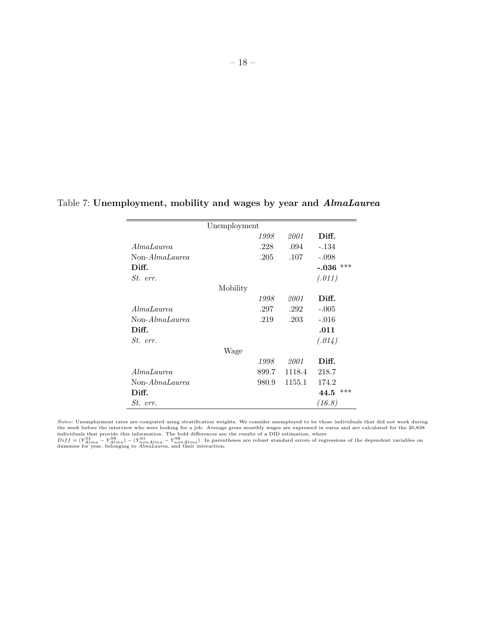|                | Unemployment |       |        |                |
|----------------|--------------|-------|--------|----------------|
|                |              | 1998  | 2001   | Diff.          |
| AlmaLaurea     |              | .228  | .094   | $-.134$        |
| Non-AlmaLaurea |              | .205  | .107   | $-.098$        |
| Diff.          |              |       |        | ***<br>$-.036$ |
| St. err.       |              |       |        | (.011)         |
|                | Mobility     |       |        |                |
|                |              | 1998  | 2001   | Diff.          |
| AlmaLaurea     |              | .297  | .292   | $-.005$        |
| Non-AlmaLaurea |              | .219  | .203   | $-.016$        |
| Diff.          |              |       |        | .011           |
| St. err.       |              |       |        | (.014)         |
|                | Wage         |       |        |                |
|                |              | 1998  | 2001   | Diff.          |
| AlmaLaurea     |              | 899.7 | 1118.4 | 218.7          |
| Non-AlmaLaurea |              | 980.9 | 1155.1 | 174.2          |
| Diff.          |              |       |        | ***<br>44.5    |
| St. err.       |              |       |        | (16.8)         |

## Table 7: Unemployment, mobility and wages by year and AlmaLaurea

*Notes:* Unemployment rates are computed using stratification weights. We consider unemployed to be those individuals that did not work during<br>the week before the interview who were looking for a job. Average gross monthl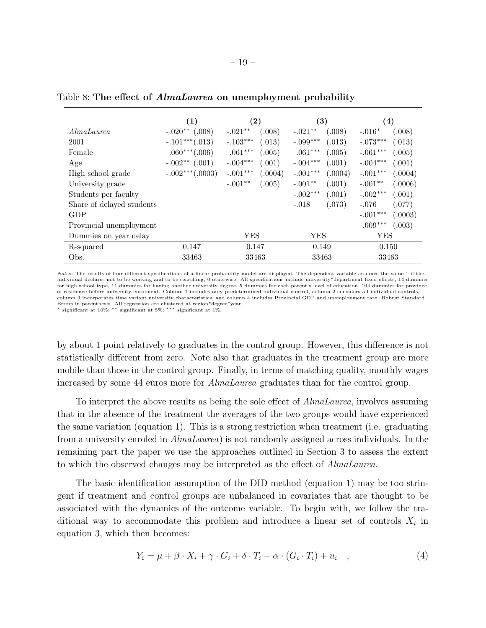|                           | (1)               | $\rm(2)$              | $\left( 3\right)$     | $\left( 4\right)$     |
|---------------------------|-------------------|-----------------------|-----------------------|-----------------------|
| AlmaLaurea                | $-.020**$ (.008)  | $-.021**$<br>(.008)   | (.008)<br>$-.021**$   | (.008)<br>$-.016*$    |
| 2001                      | $-.101***(.013)$  | $-.103***$<br>(.013)  | $-.099***$<br>(.013)  | $-.073***$<br>(.013)  |
| Female                    | $.060***(.006)$   | $.061***$<br>(.005)   | $.061***$<br>(.005)   | $-.061***$<br>(.005)  |
| Age                       | $-.002**$ (.001)  | $-.004***$<br>(.001)  | $-.004***$<br>(.001)  | $-.004***$<br>(.001)  |
| High school grade         | $-.002***(.0003)$ | $-.001***$<br>(.0004) | $-.001***$<br>(.0004) | $-.001***$<br>(.0004) |
| University grade          |                   | $-.001**$<br>(.005)   | $-.001**$<br>(.001)   | $-.001**$<br>(.0006)  |
| Students per faculty      |                   |                       | $-.002***$<br>(.001)  | $-.002***$<br>(.001)  |
| Share of delayed students |                   |                       | $-.018$<br>(.073)     | $-.076$<br>(.077)     |
| GDP                       |                   |                       |                       | $-.001***$<br>(.0003) |
| Provincial unemployment   |                   |                       |                       | $.009***$<br>(.003)   |
| Dummies on year delay     |                   | YES                   | YES                   | YES                   |
| R-squared                 | 0.147             | 0.147                 | 0.149                 | 0.150                 |
| Obs.                      | 33463             | 33463                 | 33463                 | 33463                 |

Table 8: The effect of *AlmaLaurea* on unemployment probability

Notes: The results of four different specifications of a linear probability model are displayed. The dependent variable assumes the value 1 if the individual declares not to be working and to be searching, 0 otherwise. All specifications include university\*department fixed effects, 14 dummies for high school type, 11 dummies for having another university degree, 5 dummies for each parent's level of education, 104 dummies for province of residence before university enrolment. Column 1 includes only predetermined individual control, column 2 considers all individual controls, column 3 incorporates time variant university characteristics, and column 4 includes Provincial GDP and unemployment rate. Robust Standard Errors in parenthesis. All regression are clustered at region\*degree\*year. <sup>∗</sup> significant at 10%; ∗∗ significant at 5%; ∗∗∗ significant at 1%.

by about 1 point relatively to graduates in the control group. However, this difference is not statistically different from zero. Note also that graduates in the treatment group are more mobile than those in the control group. Finally, in terms of matching quality, monthly wages increased by some 44 euros more for AlmaLaurea graduates than for the control group.

To interpret the above results as being the sole effect of *AlmaLaurea*, involves assuming that in the absence of the treatment the averages of the two groups would have experienced the same variation (equation 1). This is a strong restriction when treatment (i.e. graduating from a university enroled in AlmaLaurea) is not randomly assigned across individuals. In the remaining part the paper we use the approaches outlined in Section 3 to assess the extent to which the observed changes may be interpreted as the effect of AlmaLaurea.

The basic identification assumption of the DID method (equation 1) may be too stringent if treatment and control groups are unbalanced in covariates that are thought to be associated with the dynamics of the outcome variable. To begin with, we follow the traditional way to accommodate this problem and introduce a linear set of controls  $X_i$  in equation 3, which then becomes:

$$
Y_i = \mu + \beta \cdot X_i + \gamma \cdot G_i + \delta \cdot T_i + \alpha \cdot (G_i \cdot T_i) + u_i \quad , \tag{4}
$$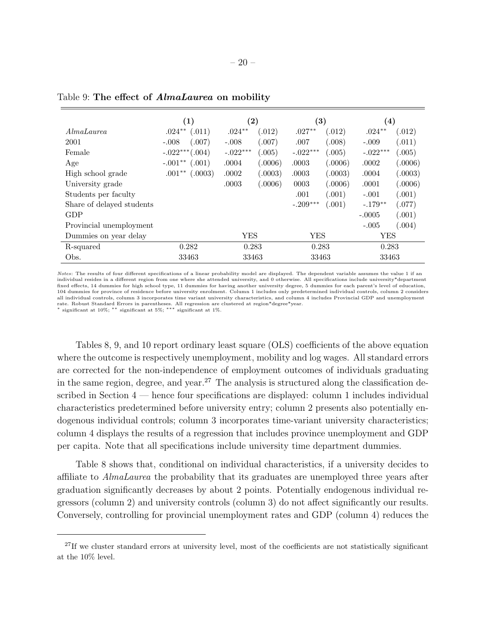|                           | (1)                 | $\bf(2)$             | $\bf (3)$            | $\left( 4\right)$    |
|---------------------------|---------------------|----------------------|----------------------|----------------------|
| AlmaLaurea                | $.024**$<br>(.011)  | $.024**$<br>(.012)   | $.027**$<br>(.012)   | $.024**$<br>(.012)   |
| 2001                      | (.007)<br>$-.008$   | $-.008$<br>(.007)    | .007<br>(.008)       | (.011)<br>$-.009$    |
| Female                    | $-.022***(.004)$    | $-.022***$<br>(.005) | $-.022***$<br>(.005) | $-.022***$<br>(.005) |
| Age                       | $-.001**$<br>(.001) | .0004<br>(.0006)     | .0003<br>(.0006)     | (.0006)<br>.0002     |
| High school grade         | $.001**$<br>(.0003) | .0002<br>(.0003)     | .0003<br>(.0003)     | .0004<br>(.0003)     |
| University grade          |                     | .0003<br>(.0006)     | (.0006)<br>0003      | .0001<br>(.0006)     |
| Students per faculty      |                     |                      | (.001)<br>.001       | $-.001$<br>(.001)    |
| Share of delayed students |                     |                      | $-.209***$<br>(.001) | $-.179**$<br>(.077)  |
| GDP                       |                     |                      |                      | (.001)<br>$-.0005$   |
| Provincial unemployment   |                     |                      |                      | (.004)<br>$-.005$    |
| Dummies on year delay     |                     | YES                  | YES                  | YES                  |
| R-squared                 | 0.282               | 0.283                | 0.283                | 0.283                |
| Obs.                      | 33463               | 33463                | 33463                | 33463                |

Table 9: The effect of AlmaLaurea on mobility

Notes: The results of four different specifications of a linear probability model are displayed. The dependent variable assumes the value 1 if an individual resides in a different region from one where she attended university, and 0 otherwise. All specifications include university\*department fixed effects, 14 dummies for high school type, 11 dummies for having another university degree, 5 dummies for each parent's level of education, 104 dummies for province of residence before university enrolment. Column 1 includes only predetermined individual controls, column 2 considers all individual controls, column 3 incorporates time variant university characteristics, and column 4 includes Provincial GDP and unemployment rate. Robust Standard Errors in parentheses. All regression are clustered at region\*degree\*year. <sup>∗</sup> significant at 10%; ∗∗ significant at 5%; ∗∗∗ significant at 1%.

Tables 8, 9, and 10 report ordinary least square (OLS) coefficients of the above equation where the outcome is respectively unemployment, mobility and log wages. All standard errors are corrected for the non-independence of employment outcomes of individuals graduating in the same region, degree, and year.<sup>27</sup> The analysis is structured along the classification described in Section 4 — hence four specifications are displayed: column 1 includes individual characteristics predetermined before university entry; column 2 presents also potentially endogenous individual controls; column 3 incorporates time-variant university characteristics; column 4 displays the results of a regression that includes province unemployment and GDP per capita. Note that all specifications include university time department dummies.

Table 8 shows that, conditional on individual characteristics, if a university decides to affiliate to AlmaLaurea the probability that its graduates are unemployed three years after graduation significantly decreases by about 2 points. Potentially endogenous individual regressors (column 2) and university controls (column 3) do not affect significantly our results. Conversely, controlling for provincial unemployment rates and GDP (column 4) reduces the

<sup>&</sup>lt;sup>27</sup>If we cluster standard errors at university level, most of the coefficients are not statistically significant at the 10% level.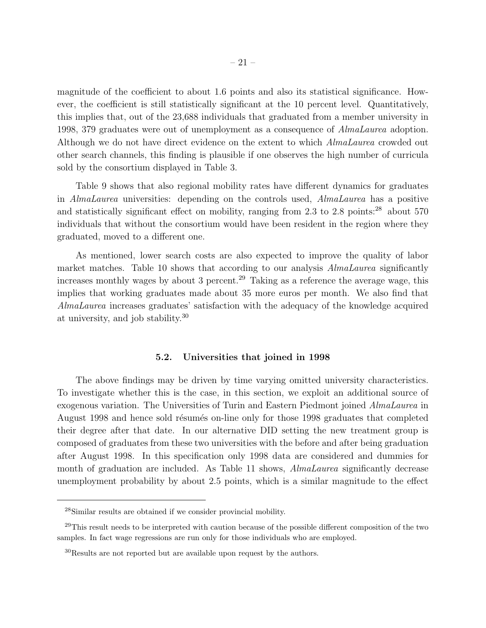magnitude of the coefficient to about 1.6 points and also its statistical significance. However, the coefficient is still statistically significant at the 10 percent level. Quantitatively, this implies that, out of the 23,688 individuals that graduated from a member university in 1998, 379 graduates were out of unemployment as a consequence of AlmaLaurea adoption. Although we do not have direct evidence on the extent to which AlmaLaurea crowded out other search channels, this finding is plausible if one observes the high number of curricula sold by the consortium displayed in Table 3.

Table 9 shows that also regional mobility rates have different dynamics for graduates in AlmaLaurea universities: depending on the controls used, AlmaLaurea has a positive and statistically significant effect on mobility, ranging from 2.3 to 2.8 points: $^{28}$  about 570 individuals that without the consortium would have been resident in the region where they graduated, moved to a different one.

As mentioned, lower search costs are also expected to improve the quality of labor market matches. Table 10 shows that according to our analysis *AlmaLaurea* significantly increases monthly wages by about 3 percent.<sup>29</sup> Taking as a reference the average wage, this implies that working graduates made about 35 more euros per month. We also find that AlmaLaurea increases graduates' satisfaction with the adequacy of the knowledge acquired at university, and job stability.<sup>30</sup>

#### 5.2. Universities that joined in 1998

The above findings may be driven by time varying omitted university characteristics. To investigate whether this is the case, in this section, we exploit an additional source of exogenous variation. The Universities of Turin and Eastern Piedmont joined AlmaLaurea in August 1998 and hence sold résumés on-line only for those 1998 graduates that completed their degree after that date. In our alternative DID setting the new treatment group is composed of graduates from these two universities with the before and after being graduation after August 1998. In this specification only 1998 data are considered and dummies for month of graduation are included. As Table 11 shows, *AlmaLaurea* significantly decrease unemployment probability by about 2.5 points, which is a similar magnitude to the effect

<sup>28</sup>Similar results are obtained if we consider provincial mobility.

<sup>&</sup>lt;sup>29</sup>This result needs to be interpreted with caution because of the possible different composition of the two samples. In fact wage regressions are run only for those individuals who are employed.

 $30$ Results are not reported but are available upon request by the authors.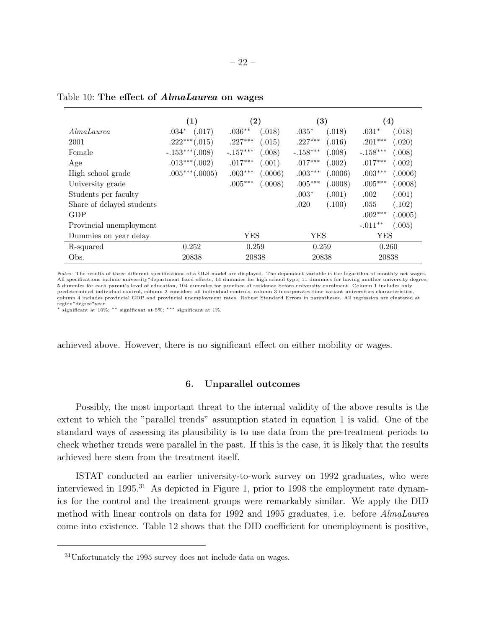|                           | (1)               | $\left( 2\right)$    | $\left( 3\right)$    | $\left( 4\right)$    |
|---------------------------|-------------------|----------------------|----------------------|----------------------|
| AlmaLaurea                | $.034*$<br>(.017) | $.036**$<br>(.018)   | $.035*$<br>(.018)    | (.018)<br>$.031*$    |
| 2001                      | $.222***(.015)$   | $.227***$<br>(.015)  | $.227***$<br>(.016)  | $.201***$<br>(.020)  |
| Female                    | $-.153***(.008)$  | $-.157***$<br>(.008) | $-.158***$<br>(.008) | $-.158***$<br>(.008) |
| Age                       | $.013***(.002)$   | $.017***$<br>(.001)  | $.017***$<br>(.002)  | $.017***$<br>(.002)  |
| High school grade         | $.005***(.0005)$  | $.003***$<br>(.0006) | $.003***$<br>(.0006) | $.003***$<br>(.0006) |
| University grade          |                   | $.005***$<br>(.0008) | $.005***$<br>(.0008) | $.005***$<br>(.0008) |
| Students per faculty      |                   |                      | $.003*$<br>(.001)    | (.001)<br>.002       |
| Share of delayed students |                   |                      | .020<br>(.100)       | .055<br>(.102)       |
| GDP                       |                   |                      |                      | $.002***$<br>(.0005) |
| Provincial unemployment   |                   |                      |                      | $-.011**$<br>(.005)  |
| Dummies on year delay     |                   | YES                  | YES                  | YES                  |
| R-squared                 | 0.252             | 0.259                | 0.259                | 0.260                |
| Obs.                      | 20838             | 20838                | 20838                | 20838                |

Table 10: The effect of AlmaLaurea on wages

Notes: The results of three different specifications of a OLS model are displayed. The dependent variable is the logarithm of monthly net wages. All specifications include university\*department fixed effects, 14 dummies for high school type, 11 dummies for having another university degree, 5 dummies for each parent's level of education, 104 dummies for province of residence before university enrolment. Column 1 includes only predetermined individual control, column 2 considers all individual controls, column 3 incorporates time variant universities characteristics, column 4 includes provincial GDP and provincial unemployment rates. Robust Standard Errors in parentheses. All regression are clustered at region\*degree\*year.

significant at 10%; \*\* significant at 5%; \*\*\* significant at 1%.

achieved above. However, there is no significant effect on either mobility or wages.

#### 6. Unparallel outcomes

Possibly, the most important threat to the internal validity of the above results is the extent to which the "parallel trends" assumption stated in equation 1 is valid. One of the standard ways of assessing its plausibility is to use data from the pre-treatment periods to check whether trends were parallel in the past. If this is the case, it is likely that the results achieved here stem from the treatment itself.

ISTAT conducted an earlier university-to-work survey on 1992 graduates, who were interviewed in 1995.<sup>31</sup> As depicted in Figure 1, prior to 1998 the employment rate dynamics for the control and the treatment groups were remarkably similar. We apply the DID method with linear controls on data for 1992 and 1995 graduates, i.e. before AlmaLaurea come into existence. Table 12 shows that the DID coefficient for unemployment is positive,

<sup>31</sup>Unfortunately the 1995 survey does not include data on wages.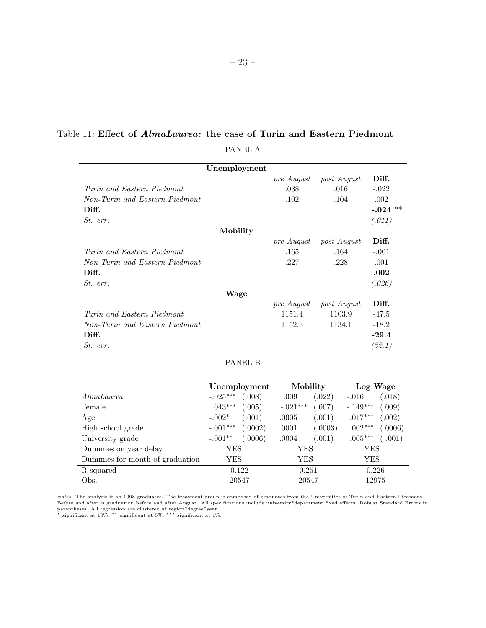# Table 11: Effect of AlmaLaurea: the case of Turin and Eastern Piedmont

PANEL A

|                                                                                   | Unemployment |              |                                |                                 |            |                                                      |
|-----------------------------------------------------------------------------------|--------------|--------------|--------------------------------|---------------------------------|------------|------------------------------------------------------|
| Turin and Eastern Piedmont<br>Non-Turin and Eastern Piedmont<br>Diff.<br>St. err. |              |              | pre August<br>.038<br>.102     | post August<br>.016<br>.104     |            | Diff.<br>$-.022$<br>$.002\,$<br>$-.024$ **<br>(.011) |
|                                                                                   | Mobility     |              |                                |                                 |            | Diff.                                                |
| Turin and Eastern Piedmont<br>Non-Turin and Eastern Piedmont<br>Diff.<br>St. err. |              |              | pre August<br>.165<br>.227     | post August<br>.164<br>.228     |            | $-.001$<br>.001<br>.002<br>(.026)                    |
|                                                                                   | Wage         |              |                                |                                 |            |                                                      |
| Turin and Eastern Piedmont<br>Non-Turin and Eastern Piedmont<br>Diff.<br>St. err. |              |              | pre August<br>1151.4<br>1152.3 | post August<br>1103.9<br>1134.1 |            | Diff.<br>$-47.5$<br>$-18.2$<br>$-29.4$<br>(32.1)     |
|                                                                                   |              | PANEL B      |                                |                                 |            |                                                      |
|                                                                                   |              | Unemployment | Mobility                       |                                 |            | Log Wage                                             |
| AlmaLaurea                                                                        | $-.025***$   | (.008)       | .009                           | (.022)                          | $-.016$    | (.018)                                               |
| Female                                                                            | $.043***$    | (.005)       | $-.021***$                     | (.007)                          | $-.149***$ | (.009)                                               |
| Age                                                                               | $-.002*$     | (.001)       | .0005                          | (.001)                          | $.017***$  | (.002)                                               |
| High school grade                                                                 | $-.001***$   | (.0002)      | .0001                          | (.0003)                         | $.002***$  | (.0006)                                              |
| University grade                                                                  | $-.001**$    | (.0006)      | .0004                          | (.001)                          | $.005***$  | (.001)                                               |
| Dummies on year delay                                                             | YES          |              | YES                            |                                 |            | YES                                                  |
| Dummies for month of graduation                                                   | <b>YES</b>   |              | <b>YES</b>                     |                                 |            | <b>YES</b>                                           |
| R-squared                                                                         |              | 0.122        | 0.251                          |                                 |            | 0.226                                                |

*Notes*: The analysis is on 1998 graduates. The treatment group is composed of graduates from the Universities of Turin and Eastern Piedmont.<br>Before and after is graduation before and after August. All specifications inclu

Obs. 20547 20547 12975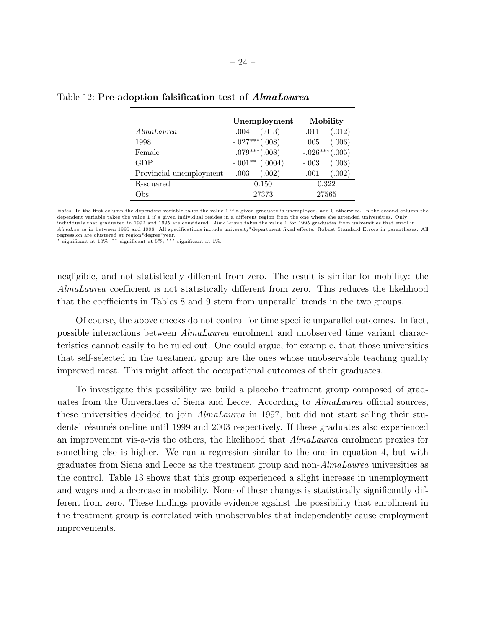|                         | Unemployment      | Mobility          |
|-------------------------|-------------------|-------------------|
| AlmaLaurea              | (.013)<br>.004    | (.012)<br>.011    |
| 1998                    | $-.027***(.008)$  | (.006)<br>.005    |
| Female                  | $.079***(.008)$   | $-.026***(.005)$  |
| GDP                     | $-.001**$ (.0004) | (.003)<br>$-.003$ |
| Provincial unemployment | (.002)<br>.003    | (.002)<br>.001    |
| R-squared               | 0.150             | 0.322             |
| Obs.                    | 27373             | 27565             |

#### Table 12: Pre-adoption falsification test of AlmaLaurea

Notes: In the first column the dependent variable takes the value 1 if a given graduate is unemployed, and 0 otherwise. In the second column the dependent variable takes the value 1 if a given individual resides in a different region from the one where she attended universities. Only individuals that graduated in 1992 and 1995 are considered. AlmaLaurea takes the value 1 for 1995 graduates from universities that enrol in AlmaLaurea in between 1995 and 1998. All specifications include university\*department fixed effects. Robust Standard Errors in parentheses. All

regression are clustered at region\*degree\*year. <sup>∗</sup> significant at 10%; ∗∗ significant at 5%; ∗∗∗ significant at 1%.

negligible, and not statistically different from zero. The result is similar for mobility: the AlmaLaurea coefficient is not statistically different from zero. This reduces the likelihood that the coefficients in Tables 8 and 9 stem from unparallel trends in the two groups.

Of course, the above checks do not control for time specific unparallel outcomes. In fact, possible interactions between AlmaLaurea enrolment and unobserved time variant characteristics cannot easily to be ruled out. One could argue, for example, that those universities that self-selected in the treatment group are the ones whose unobservable teaching quality improved most. This might affect the occupational outcomes of their graduates.

To investigate this possibility we build a placebo treatment group composed of graduates from the Universities of Siena and Lecce. According to AlmaLaurea official sources, these universities decided to join AlmaLaurea in 1997, but did not start selling their students' résumés on-line until 1999 and 2003 respectively. If these graduates also experienced an improvement vis-a-vis the others, the likelihood that AlmaLaurea enrolment proxies for something else is higher. We run a regression similar to the one in equation 4, but with graduates from Siena and Lecce as the treatment group and non-AlmaLaurea universities as the control. Table 13 shows that this group experienced a slight increase in unemployment and wages and a decrease in mobility. None of these changes is statistically significantly different from zero. These findings provide evidence against the possibility that enrollment in the treatment group is correlated with unobservables that independently cause employment improvements.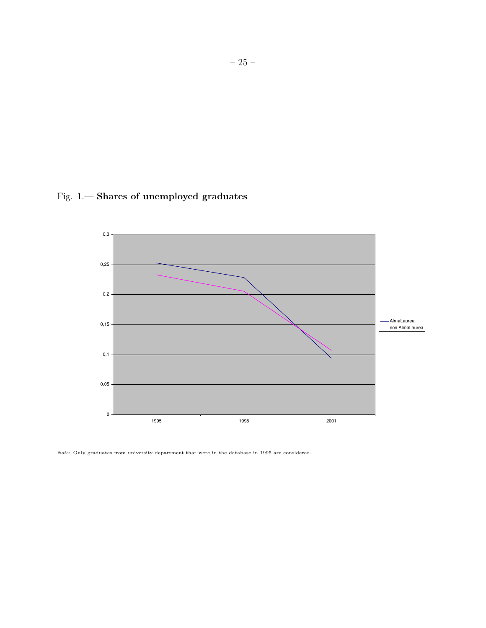



Note: Only graduates from university department that were in the database in 1995 are considered.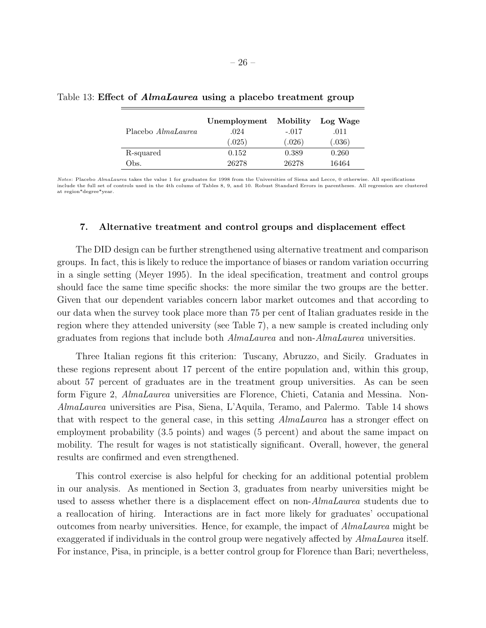|                           | Unemployment | Mobility | Log Wage |
|---------------------------|--------------|----------|----------|
| Placebo <i>AlmaLaurea</i> | .024         | $-.017$  | .011     |
|                           | (.025)       | (.026)   | (.036)   |
| R-squared                 | 0.152        | 0.389    | 0.260    |
| Obs.                      | 26278        | 26278    | 16464    |

Table 13: Effect of AlmaLaurea using a placebo treatment group

Notes: Placebo AlmaLaurea takes the value 1 for graduates for 1998 from the Universities of Siena and Lecce, 0 otherwise. All specifications include the full set of controls used in the 4th colums of Tables 8, 9, and 10. Robust Standard Errors in parentheses. All regression are clustered at region\*degree\*year.

#### 7. Alternative treatment and control groups and displacement effect

The DID design can be further strengthened using alternative treatment and comparison groups. In fact, this is likely to reduce the importance of biases or random variation occurring in a single setting (Meyer 1995). In the ideal specification, treatment and control groups should face the same time specific shocks: the more similar the two groups are the better. Given that our dependent variables concern labor market outcomes and that according to our data when the survey took place more than 75 per cent of Italian graduates reside in the region where they attended university (see Table 7), a new sample is created including only graduates from regions that include both AlmaLaurea and non-AlmaLaurea universities.

Three Italian regions fit this criterion: Tuscany, Abruzzo, and Sicily. Graduates in these regions represent about 17 percent of the entire population and, within this group, about 57 percent of graduates are in the treatment group universities. As can be seen form Figure 2, AlmaLaurea universities are Florence, Chieti, Catania and Messina. Non-AlmaLaurea universities are Pisa, Siena, L'Aquila, Teramo, and Palermo. Table 14 shows that with respect to the general case, in this setting AlmaLaurea has a stronger effect on employment probability (3.5 points) and wages (5 percent) and about the same impact on mobility. The result for wages is not statistically significant. Overall, however, the general results are confirmed and even strengthened.

This control exercise is also helpful for checking for an additional potential problem in our analysis. As mentioned in Section 3, graduates from nearby universities might be used to assess whether there is a displacement effect on non-AlmaLaurea students due to a reallocation of hiring. Interactions are in fact more likely for graduates' occupational outcomes from nearby universities. Hence, for example, the impact of AlmaLaurea might be exaggerated if individuals in the control group were negatively affected by  $Almalaurea$  itself. For instance, Pisa, in principle, is a better control group for Florence than Bari; nevertheless,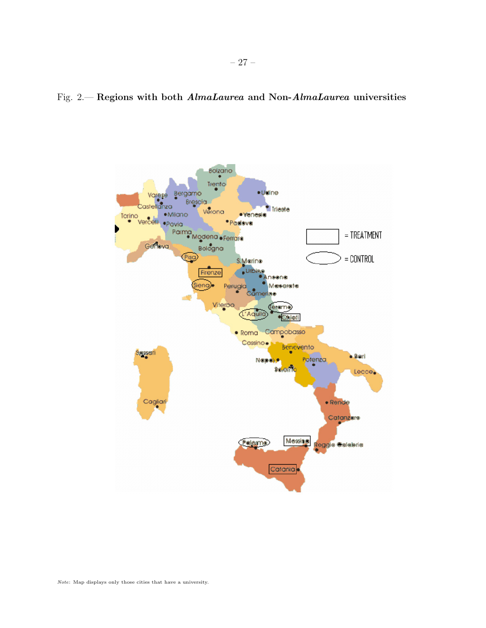## Fig. 2.— Regions with both AlmaLaurea and Non-AlmaLaurea universities

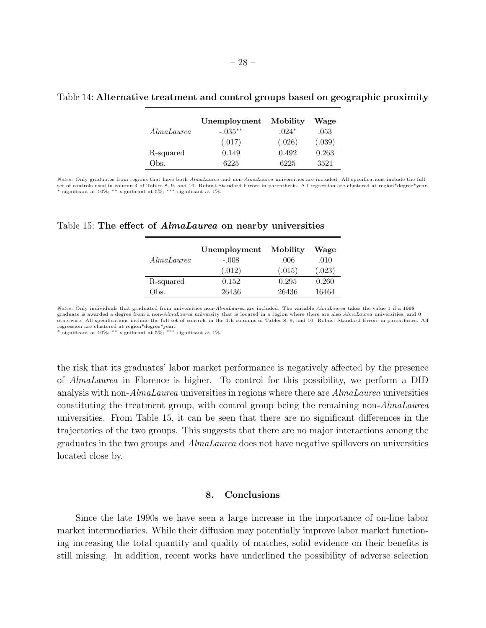|            | Unemployment | Mobility | Wage   |
|------------|--------------|----------|--------|
| AlmaLaurea | $-.035**$    | $.024*$  | .053   |
|            | (.017)       | (.026)   | (.039) |
| R-squared  | 0.149        | 0.492    | 0.263  |
| Эbs.       | 6225         | 6225     | 3521   |

## Table 14: Alternative treatment and control groups based on geographic proximity

Notes: Only graduates from regions that have both AlmaLaurea and non-AlmaLaurea universities are included. All specifications include the full set of controls used in column 4 of Tables 8, 9, and 10. Robust Standard Errors in parenthesis. All regression are clustered at region\*degree\*year.<br>\* significant at 10%; \*\* significant at 5%; \*\*\* significant at 1%.

| Table 15: The effect of <i>AlmaLaurea</i> on nearby universities |  |  |  |  |  |  |  |  |  |
|------------------------------------------------------------------|--|--|--|--|--|--|--|--|--|
|------------------------------------------------------------------|--|--|--|--|--|--|--|--|--|

|            | Unemployment | Mobility | Wage   |
|------------|--------------|----------|--------|
| AlmaLaurea | $-.008$      | .006     | .010   |
|            | (.012)       | (.015)   | (.023) |
| R-squared  | 0.152        | 0.295    | 0.260  |
| Obs.       | 26436        | 26436    | 16464  |
|            |              |          |        |

Notes: Only individuals that graduated from universities non-AlmaLaurea are included. The variable AlmaLaurea takes the value 1 if a 1998 graduate is awarded a degree from a non-AlmaLaurea university that is located in a region where there are also AlmaLaurea universities, and 0 otherwise. All specifications include the full set of controls in the 4th columns of Tables 8, 9, and 10. Robust Standard Errors in parentheses. All

regression are clustered at region\*degree\*year. <sup>∗</sup> significant at 10%; ∗∗ significant at 5%; ∗∗∗ significant at 1%.

the risk that its graduates' labor market performance is negatively affected by the presence of AlmaLaurea in Florence is higher. To control for this possibility, we perform a DID analysis with non-AlmaLaurea universities in regions where there are AlmaLaurea universities constituting the treatment group, with control group being the remaining non-AlmaLaurea universities. From Table 15, it can be seen that there are no significant differences in the trajectories of the two groups. This suggests that there are no major interactions among the graduates in the two groups and AlmaLaurea does not have negative spillovers on universities located close by.

## 8. Conclusions

Since the late 1990s we have seen a large increase in the importance of on-line labor market intermediaries. While their diffusion may potentially improve labor market functioning increasing the total quantity and quality of matches, solid evidence on their benefits is still missing. In addition, recent works have underlined the possibility of adverse selection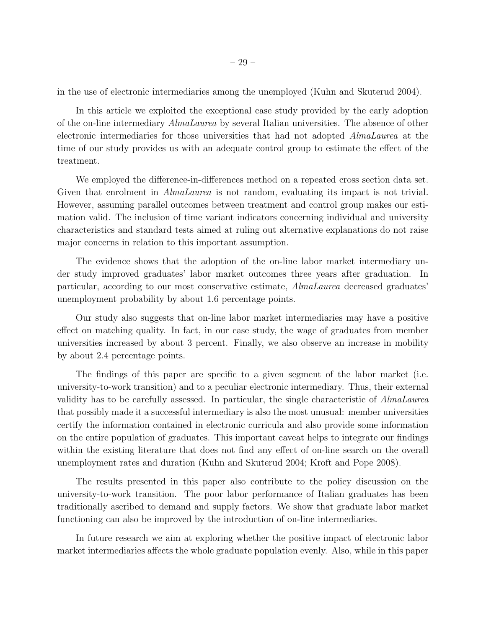in the use of electronic intermediaries among the unemployed (Kuhn and Skuterud 2004).

In this article we exploited the exceptional case study provided by the early adoption of the on-line intermediary AlmaLaurea by several Italian universities. The absence of other electronic intermediaries for those universities that had not adopted AlmaLaurea at the time of our study provides us with an adequate control group to estimate the effect of the treatment.

We employed the difference-in-differences method on a repeated cross section data set. Given that enrolment in *AlmaLaurea* is not random, evaluating its impact is not trivial. However, assuming parallel outcomes between treatment and control group makes our estimation valid. The inclusion of time variant indicators concerning individual and university characteristics and standard tests aimed at ruling out alternative explanations do not raise major concerns in relation to this important assumption.

The evidence shows that the adoption of the on-line labor market intermediary under study improved graduates' labor market outcomes three years after graduation. In particular, according to our most conservative estimate, AlmaLaurea decreased graduates' unemployment probability by about 1.6 percentage points.

Our study also suggests that on-line labor market intermediaries may have a positive effect on matching quality. In fact, in our case study, the wage of graduates from member universities increased by about 3 percent. Finally, we also observe an increase in mobility by about 2.4 percentage points.

The findings of this paper are specific to a given segment of the labor market (i.e. university-to-work transition) and to a peculiar electronic intermediary. Thus, their external validity has to be carefully assessed. In particular, the single characteristic of AlmaLaurea that possibly made it a successful intermediary is also the most unusual: member universities certify the information contained in electronic curricula and also provide some information on the entire population of graduates. This important caveat helps to integrate our findings within the existing literature that does not find any effect of on-line search on the overall unemployment rates and duration (Kuhn and Skuterud 2004; Kroft and Pope 2008).

The results presented in this paper also contribute to the policy discussion on the university-to-work transition. The poor labor performance of Italian graduates has been traditionally ascribed to demand and supply factors. We show that graduate labor market functioning can also be improved by the introduction of on-line intermediaries.

In future research we aim at exploring whether the positive impact of electronic labor market intermediaries affects the whole graduate population evenly. Also, while in this paper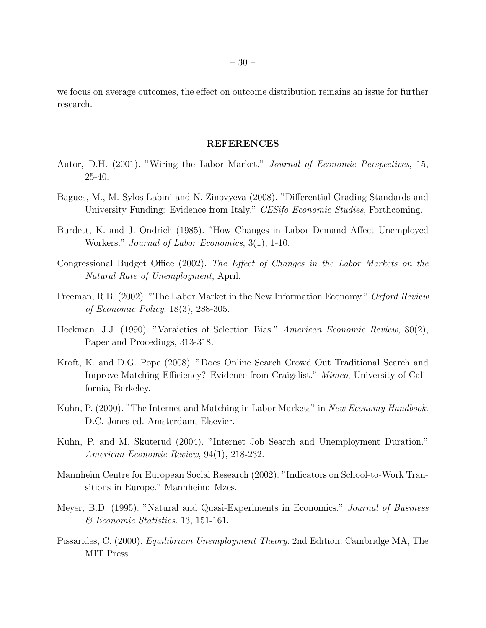we focus on average outcomes, the effect on outcome distribution remains an issue for further research.

## REFERENCES

- Autor, D.H. (2001). "Wiring the Labor Market." Journal of Economic Perspectives, 15, 25-40.
- Bagues, M., M. Sylos Labini and N. Zinovyeva (2008). "Differential Grading Standards and University Funding: Evidence from Italy." CESifo Economic Studies, Forthcoming.
- Burdett, K. and J. Ondrich (1985). "How Changes in Labor Demand Affect Unemployed Workers." Journal of Labor Economics, 3(1), 1-10.
- Congressional Budget Office (2002). The Effect of Changes in the Labor Markets on the Natural Rate of Unemployment, April.
- Freeman, R.B. (2002). "The Labor Market in the New Information Economy." Oxford Review of Economic Policy, 18(3), 288-305.
- Heckman, J.J. (1990). "Varaieties of Selection Bias." *American Economic Review*, 80(2), Paper and Procedings, 313-318.
- Kroft, K. and D.G. Pope (2008). "Does Online Search Crowd Out Traditional Search and Improve Matching Efficiency? Evidence from Craigslist." Mimeo, University of California, Berkeley.
- Kuhn, P. (2000). "The Internet and Matching in Labor Markets" in New Economy Handbook. D.C. Jones ed. Amsterdam, Elsevier.
- Kuhn, P. and M. Skuterud (2004). "Internet Job Search and Unemployment Duration." American Economic Review, 94(1), 218-232.
- Mannheim Centre for European Social Research (2002). "Indicators on School-to-Work Transitions in Europe." Mannheim: Mzes.
- Meyer, B.D. (1995). "Natural and Quasi-Experiments in Economics." Journal of Business & Economic Statistics. 13, 151-161.
- Pissarides, C. (2000). Equilibrium Unemployment Theory. 2nd Edition. Cambridge MA, The MIT Press.